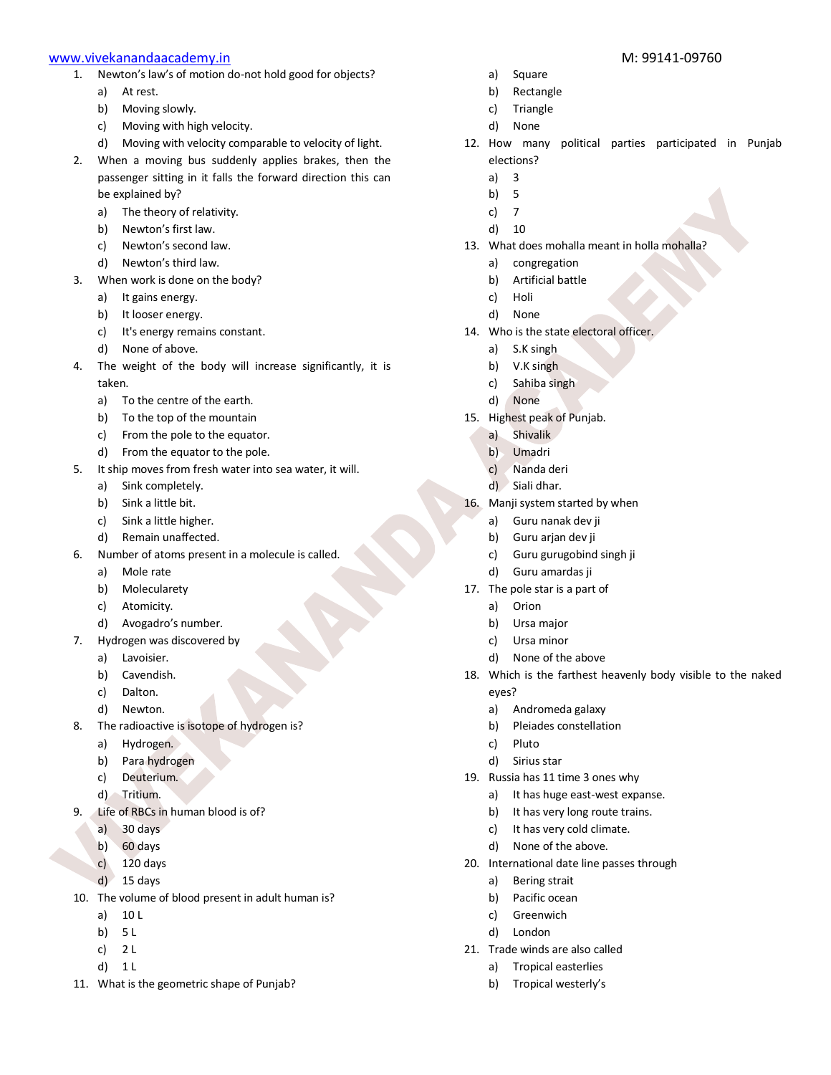- 1. Newton's law's of motion do-not hold good for objects?
	- a) At rest.
	- b) Moving slowly.
	- c) Moving with high velocity.
	- d) Moving with velocity comparable to velocity of light.
- 2. When a moving bus suddenly applies brakes, then the passenger sitting in it falls the forward direction this can be explained by?
	- a) The theory of relativity.
	- b) Newton's first law.
	- c) Newton's second law.
	- d) Newton's third law.
- 3. When work is done on the body?
	- a) It gains energy.
	- b) It looser energy.
	- c) It's energy remains constant.
	- d) None of above.
- 4. The weight of the body will increase significantly, it is taken.
	- a) To the centre of the earth.
	- b) To the top of the mountain
	- c) From the pole to the equator.
	- d) From the equator to the pole.
- 5. It ship moves from fresh water into sea water, it will.
	- a) Sink completely.
	- b) Sink a little bit.
	- c) Sink a little higher.
	- d) Remain unaffected.
- 6. Number of atoms present in a molecule is called.
	- a) Mole rate
	- b) Molecularety
	- c) Atomicity.
	- d) Avogadro's number.
- 7. Hydrogen was discovered by
	- a) Lavoisier.
	- b) Cavendish.
	- c) Dalton.
	- d) Newton.
- 8. The radioactive is isotope of hydrogen is?
	- a) Hydrogen.
	- b) Para hydrogen
	- c) Deuterium.
	- d) Tritium.
- Life of RBCs in human blood is of?
	- a) 30 days
	- b) 60 days
	- c) 120 days
	- d) 15 days
- 10. The volume of blood present in adult human is?
	- a) 10 L
	- b) 5 L
	- c) 2 L
	- d) 1 L
- 11. What is the geometric shape of Punjab?
- a) Square
- b) Rectangle
- c) Triangle
- d) None
- 12. How many political parties participated in Punjab elections?
	- a) 3
	- b) 5
	- c) 7
	- d) 10
- 13. What does mohalla meant in holla mohalla?
	- a) congregation
	- b) Artificial battle
	- c) Holi
	- d) None
- 14. Who is the state electoral officer.
	- a) S.K singh
	- b) V.K singh
	- c) Sahiba singh
	- d) None
- 15. Highest peak of Punjab.
	- a) Shivalik
	- b) Umadri
	- c) Nanda deri
	- d) Siali dhar.
- 16. Manji system started by when
	- a) Guru nanak dev ji
	- b) Guru arjan dev ji
	- c) Guru gurugobind singh ji
	- d) Guru amardas ji
- 17. The pole star is a part of
	- a) Orion
	- b) Ursa major
	- c) Ursa minor
	- d) None of the above
- 18. Which is the farthest heavenly body visible to the naked eyes?
	- a) Andromeda galaxy
	- b) Pleiades constellation
	- c) Pluto
	- d) Sirius star
- 19. Russia has 11 time 3 ones why
	- a) It has huge east-west expanse.
	- b) It has very long route trains.
	- c) It has very cold climate.
	- d) None of the above.
- 20. International date line passes through
	- a) Bering strait
	- b) Pacific ocean

21. Trade winds are also called a) Tropical easterlies b) Tropical westerly's

c) Greenwich d) London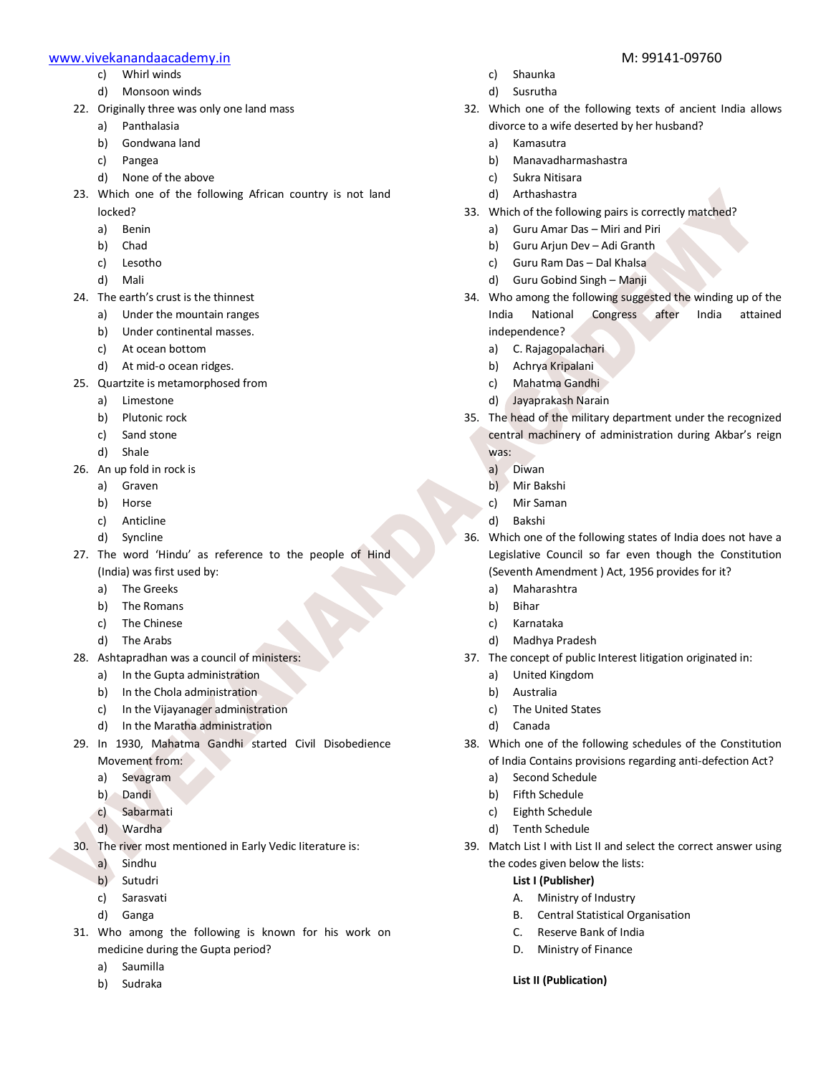- c) Whirl winds
- d) Monsoon winds
- 22. Originally three was only one land mass
	- a) Panthalasia
	- b) Gondwana land
	- c) Pangea
	- d) None of the above
- 23. Which one of the following African country is not land locked?
	- a) Benin
	- b) Chad
	- c) Lesotho
	- d) Mali
- 24. The earth's crust is the thinnest
	- a) Under the mountain ranges
	- b) Under continental masses.
	- c) At ocean bottom
	- d) At mid-o ocean ridges.
- 25. Quartzite is metamorphosed from
	- a) Limestone
	- b) Plutonic rock
	- c) Sand stone
	- d) Shale
- 26. An up fold in rock is
	- a) Graven
	- b) Horse
	- c) Anticline
	- d) Syncline
- 27. The word 'Hindu' as reference to the people of Hind (India) was first used by:
	- a) The Greeks
	- b) The Romans
	- c) The Chinese
	- d) The Arabs
- 28. Ashtapradhan was a council of ministers:
	- a) In the Gupta administration
	- b) In the Chola administration
	- c) In the Vijayanager administration
	- d) In the Maratha administration
- 29. In 1930, Mahatma Gandhi started Civil Disobedience Movement from:
	- a) Sevagram
	- b) Dandi
	- c) Sabarmati
	- d) Wardha
- 30. The river most mentioned in Early Vedic Iiterature is:
	- a) Sindhu
	- b) Sutudri
	- c) Sarasvati
	- d) Ganga
- 31. Who among the following is known for his work on medicine during the Gupta period?
	- a) Saumilla
	- b) Sudraka
- c) Shaunka
- d) Susrutha
- 32. Which one of the following texts of ancient India allows divorce to a wife deserted by her husband?
	- a) Kamasutra
	- b) Manavadharmashastra
	- c) Sukra Nitisara
	- d) Arthashastra
- 33. Which of the following pairs is correctly matched?
	- a) Guru Amar Das Miri and Piri
	- b) Guru Arjun Dev Adi Granth
	- c) Guru Ram Das Dal Khalsa
	- d) Guru Gobind Singh Manji
- 34. Who among the following suggested the winding up of the India National Congress after India attained independence?
	- a) C. Rajagopalachari
	- b) Achrya Kripalani
	- c) Mahatma Gandhi
	- d) Jayaprakash Narain
- 35. The head of the military department under the recognized central machinery of administration during Akbar's reign was:
	- a) Diwan
	- b) Mir Bakshi
	- c) Mir Saman
	- d) Bakshi
- 36. Which one of the following states of India does not have a Legislative Council so far even though the Constitution (Seventh Amendment ) Act, 1956 provides for it?
	- a) Maharashtra
	- b) Bihar
	- c) Karnataka
	- d) Madhya Pradesh
- 37. The concept of public Interest litigation originated in:
	- a) United Kingdom
	- b) Australia
	- c) The United States
	- d) Canada
- 38. Which one of the following schedules of the Constitution of India Contains provisions regarding anti-defection Act?
	- a) Second Schedule
	- b) Fifth Schedule
	- c) Eighth Schedule
	- d) Tenth Schedule
- 39. Match List I with List II and select the correct answer using the codes given below the lists:

# **List I (Publisher)**

- A. Ministry of Industry
- B. Central Statistical Organisation
- C. Reserve Bank of India
- D. Ministry of Finance

### **List II (Publication)**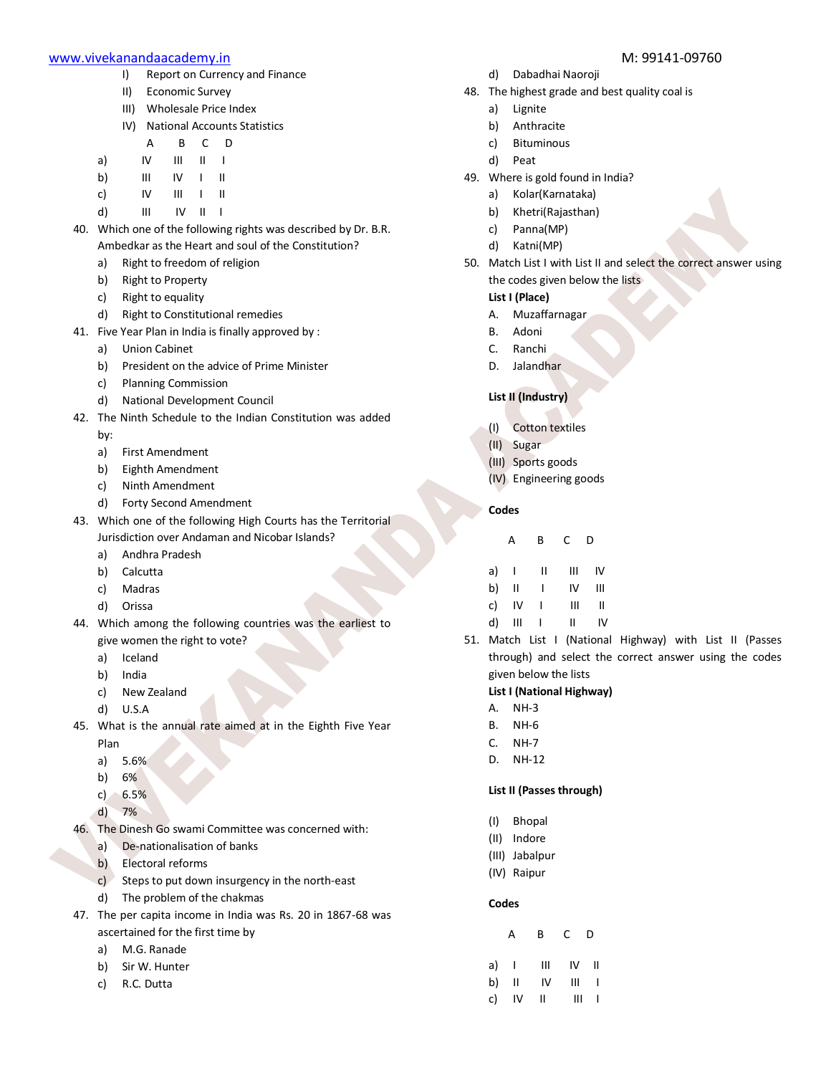- I) Report on Currency and Finance
- II) Economic Survey
- III) Wholesale Price Index
- IV) National Accounts Statistics

| А | B | D |
|---|---|---|
|   |   |   |

- a) IV III II I
- b) III IV I II
- c) IV III I II
- d) III IV II I
- 40. Which one of the following rights was described by Dr. B.R. Ambedkar as the Heart and soul of the Constitution?
	- a) Right to freedom of religion
	- b) Right to Property
	- c) Right to equality
	- d) Right to Constitutional remedies
- 41. Five Year Plan in India is finally approved by :
	- a) Union Cabinet
	- b) President on the advice of Prime Minister
	- c) Planning Commission
	- d) National Development Council
- 42. The Ninth Schedule to the Indian Constitution was added
	- by:
	- a) First Amendment
	- b) Eighth Amendment
	- c) Ninth Amendment
	- d) Forty Second Amendment
- 43. Which one of the following High Courts has the Territorial Jurisdiction over Andaman and Nicobar Islands?
	- a) Andhra Pradesh
	- b) Calcutta
	- c) Madras
	- d) Orissa
- 44. Which among the following countries was the earliest to give women the right to vote?
	- a) Iceland
	- b) India
	- c) New Zealand
	- d) U.S.A
- 45. What is the annual rate aimed at in the Eighth Five Year Plan
	- a) 5.6%
	- b) 6%
	- c) 6.5%
	- d) 7%
- 46. The Dinesh Go swami Committee was concerned with:
	- a) De-nationalisation of banks
	- b) Electoral reforms
	- c) Steps to put down insurgency in the north-east
	- d) The problem of the chakmas
- 47. The per capita income in India was Rs. 20 in 1867-68 was ascertained for the first time by
	- a) M.G. Ranade
	- b) Sir W. Hunter
	- c) R.C. Dutta
- 
- d) Dabadhai Naoroji
- 48. The highest grade and best quality coal is
	- a) Lignite
	- b) Anthracite
	- c) Bituminous
	- d) Peat
- 49. Where is gold found in India?
	- a) Kolar(Karnataka)
	- b) Khetri(Rajasthan)
	- c) Panna(MP)
	- d) Katni(MP)
- 50. Match List I with List II and select the correct answer using the codes given below the lists

# **List I (Place)**

- A. Muzaffarnagar
- B. Adoni
- C. Ranchi
- D. Jalandhar

# **List II (Industry)**

- (I) Cotton textiles
- (II) Sugar
- (III) Sports goods
- (IV) Engineering goods

# **Codes**

| Д | R | D |
|---|---|---|
|   |   |   |

| a) |    | н | Ш  | I۷ |
|----|----|---|----|----|
| b) | Ш  | ı | IV | Ш  |
| c) | IV |   | Ш  | Ш  |

- d) III I II IV
- 51. Match List I (National Highway) with List II (Passes through) and select the correct answer using the codes given below the lists

# **List I (National Highway)**

- A. NH-3
- B. NH-6
- C. NH-7
- D. NH-12

# **List II (Passes through)**

- (I) Bhopal
- (II) Indore
- (III) Jabalpur
- (IV) Raipur

# **Codes**

|    | A              | В  | C. | D  |
|----|----------------|----|----|----|
| a) | $\blacksquare$ | Ш  | IV | Ш  |
| b) | $\mathsf{II}$  | IV | Ш  | J. |
| c) | IV             | Ш  | Ш  | I  |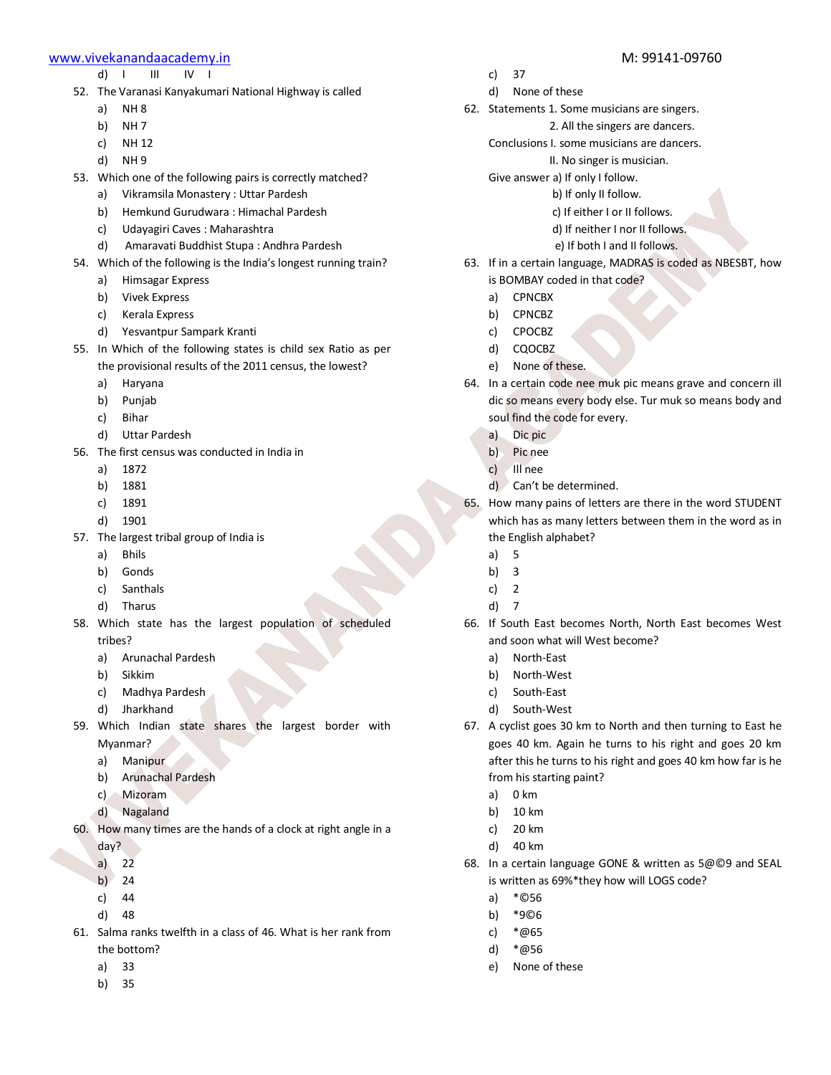- d) I III IV I
- 52. The Varanasi Kanyakumari National Highway is called
	- a) NH 8
	- b) NH 7
	- c) NH 12
	- d) NH 9
- 53. Which one of the following pairs is correctly matched?
	- a) Vikramsila Monastery : Uttar Pardesh
	- b) Hemkund Gurudwara : Himachal Pardesh
	- c) Udayagiri Caves : Maharashtra
	- d) Amaravati Buddhist Stupa : Andhra Pardesh
- 54. Which of the following is the India's longest running train?
	- a) Himsagar Express
	- b) Vivek Express
	- c) Kerala Express
	- d) Yesvantpur Sampark Kranti
- 55. In Which of the following states is child sex Ratio as per the provisional results of the 2011 census, the lowest?
	- a) Haryana
	- b) Punjab
	- c) Bihar
	- d) Uttar Pardesh
- 56. The first census was conducted in India in
	- a) 1872
	- b) 1881
	- c) 1891
	- d) 1901
- 57. The largest tribal group of India is
	- a) Bhils
	- b) Gonds
	- c) Santhals
	- d) Tharus
- 58. Which state has the largest population of scheduled tribes?
	- a) Arunachal Pardesh
	- b) Sikkim
	- c) Madhya Pardesh
	- d) Jharkhand
- 59. Which Indian state shares the largest border with Myanmar?
	- a) Manipur
	- b) Arunachal Pardesh
	- c) Mizoram
	- d) Nagaland
- 60. How many times are the hands of a clock at right angle in a day?
	- a)  $2\overline{2}$
	- b)  $24$
	- c) 44
	- d) 48
- 61. Salma ranks twelfth in a class of 46. What is her rank from the bottom?
	- a) 33
	- b) 35
- c) 37
- d) None of these
- 62. Statements 1. Some musicians are singers.
	- 2. All the singers are dancers.
	- Conclusions I. some musicians are dancers.
		- II. No singer is musician.
	- Give answer a) If only I follow.
		- b) If only II follow.
			- c) If either I or II follows.
			- d) If neither I nor II follows.
			- e) If both I and II follows.
- 63. If in a certain language, MADRAS is coded as NBESBT, how is BOMBAY coded in that code?
	- a) CPNCBX
	- b) CPNCBZ
	- c) CPOCBZ
	- d) CQOCBZ
	- e) None of these.
- 64. In a certain code nee muk pic means grave and concern ill dic so means every body else. Tur muk so means body and soul find the code for every.
	- a) Dic pic
	- b) Pic nee
	- c) Ill nee
	- d) Can't be determined.
- 65. How many pains of letters are there in the word STUDENT which has as many letters between them in the word as in the English alphabet?
	- a) 5
	- b) 3
	- c) 2
	- d) 7
- 66. If South East becomes North, North East becomes West and soon what will West become?
	- a) North-East
	- b) North-West
	- c) South-East
	- d) South-West
- 67. A cyclist goes 30 km to North and then turning to East he goes 40 km. Again he turns to his right and goes 20 km after this he turns to his right and goes 40 km how far is he from his starting paint?
	- a) 0 km
	- b) 10 km
	- c) 20 km
	- d) 40 km
- 68. In a certain language GONE & written as 5@©9 and SEAL is written as 69%\*they how will LOGS code?
	- a) \*©56
	- b) \*9©6
	- c) \*@65
	- d) \*@56
	- e) None of these